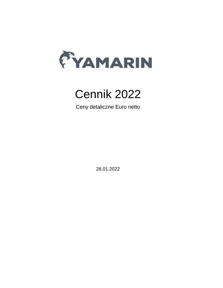

# Cennik 2022

Ceny detaliczne Euro netto

26.01.2022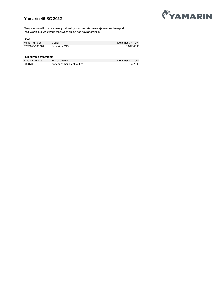## **Yamarin 46 SC 2022**



Ceny w euro netto, przeliczane po aktualnym kursie. Nie zawierają kosztow transportu. Inha Works Ltd. Zastrzega możliwość zmian bez powiadomienia.

#### **Boat**

| Model number   | Model        | Detal net VAT 0% |
|----------------|--------------|------------------|
| 6722100/803620 | Yamarin 46SC | 8 347.40 €       |

#### **Hull surface treatments**

| Product number | Product name                | Detal net VAT 0% |
|----------------|-----------------------------|------------------|
| 802070         | Bottom primer + antifouling | 794.73 €         |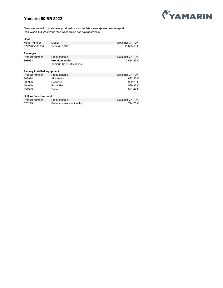# **Yamarin 50 BR 2022**



| <b>Boat</b>                        |                             |                  |
|------------------------------------|-----------------------------|------------------|
| Model number                       | Model                       | Detal net VAT 0% |
| 6722200/803634                     | Yamarin 50BR                | 11 695,50 €      |
| Packages                           |                             |                  |
| Product number                     | Product name                | Detal net VAT 0% |
| 803923                             | <b>Premium edition</b>      | 2 634,23 €       |
|                                    | Yamarin Q10", aft canvas    |                  |
| <b>Factory Installed equipment</b> |                             |                  |
| Product number                     | Product name                | Detal net VAT 0% |
| 803924                             | Aft canvas                  | 892,96€          |
| 803926                             | Softdeck                    | 982,26€          |
| 554606                             | Fishfinder                  | 589,36€          |
| 554599                             | Sonar                       | 321,47€          |
| Hull surface treatment             |                             |                  |
| Product number                     | Product name                | Detal net VAT 0% |
| 670295                             | Bottom primer + antifouling | 794,73€          |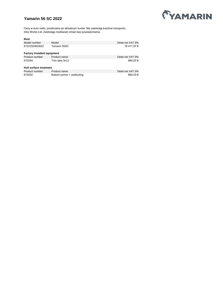## **Yamarin 56 SC 2022**



| Boat                               |                             |                  |
|------------------------------------|-----------------------------|------------------|
| Model number                       | Model                       | Detal net VAT 0% |
| 6722250/803622                     | Yamarin 56SC                | 16 411.07 €      |
| <b>Factory Installed equipment</b> |                             |                  |
| Product number                     | Product name                | Detal net VAT 0% |
| 670294                             | Trim tabs 9x12              | 884.03 €         |
| <b>Hull surface treatment</b>      |                             |                  |
| Product number                     | Product name                | Detal net VAT 0% |
| 670250                             | Bottom primer + antifouling | 884.03€          |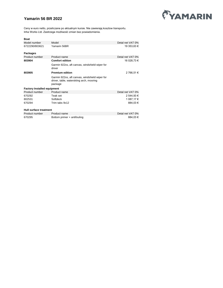## **Yamarin 56 BR 2022**



| <b>Boat</b>                        |                                                                                                       |                  |
|------------------------------------|-------------------------------------------------------------------------------------------------------|------------------|
| Model number                       | Model                                                                                                 | Detal net VAT 0% |
| 6722290/803621                     | Yamarin 56BR                                                                                          | 19 353,63 €      |
| Packages                           |                                                                                                       |                  |
| Product number                     | Product name                                                                                          | Detal net VAT 0% |
| 803904                             | <b>Comfort edition</b>                                                                                | 16 028,73 €      |
|                                    | Garmin 922xs, aft canvas, windshield wiper for<br>driver                                              |                  |
| 803905                             | <b>Premium edition</b>                                                                                | 2 766,51 €       |
|                                    | Garmin 922xs, aft canvas, windshield wiper for<br>driver, table, waterskiing arch, mooring<br>package |                  |
| <b>Factory Installed equipment</b> |                                                                                                       |                  |
| Product number                     | Product name                                                                                          | Detal net VAT 0% |
| 670292                             | Teak set                                                                                              | 2 544,93 €       |
| 802531                             | Softdeck                                                                                              | 1 087,17 €       |
| 670294                             | Trim tabs 9x12                                                                                        | 884,03€          |
| Hull surface treatment             |                                                                                                       |                  |
| Product number                     | Product name                                                                                          | Detal net VAT 0% |
|                                    |                                                                                                       |                  |
| 670295                             | Bottom primer + antifouling                                                                           | 884,03€          |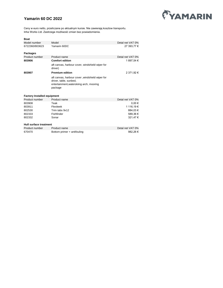## **Yamarin 60 DC 2022**



| <b>Boat</b>                        |                                                                                                                                  |                  |
|------------------------------------|----------------------------------------------------------------------------------------------------------------------------------|------------------|
| Model number                       | Model                                                                                                                            | Detal net VAT 0% |
| 6722360/803623                     | Yamarin 60DC                                                                                                                     | 27 393,77 €      |
| <b>Packages</b>                    |                                                                                                                                  |                  |
| Product number                     | Product name                                                                                                                     | Detal net VAT 0% |
| 803906                             | <b>Comfort edition</b>                                                                                                           | 1 897,54 €       |
|                                    | aft canvas, harbour cover, windshield wiper for<br>driver)                                                                       |                  |
| 803907                             | <b>Premium edition</b>                                                                                                           | 2 371,92 €       |
|                                    | aft canvas, harbour cover, windshield wiper for<br>driver, table, sunbed,<br>entertainment, waterskiing arch, mooring<br>package |                  |
| <b>Factory Installed equipment</b> |                                                                                                                                  |                  |
| Product number                     | Product name                                                                                                                     | Detal net VAT 0% |
| 803908                             | Teak                                                                                                                             | 0.00€            |
| 803911                             | Flexiteek                                                                                                                        | 1 116.19 €       |
| 802530                             | Trim tabs 9x12                                                                                                                   | 884.03€          |
| 802333                             | Fishfinder                                                                                                                       | 589,36€          |
| 802332                             | Sonar                                                                                                                            | 321,47€          |
| Hull surface treatment             |                                                                                                                                  |                  |
| Product number                     | Product name                                                                                                                     | Detal net VAT 0% |
| 670470                             | Bottom primer + antifouling                                                                                                      | 982,26€          |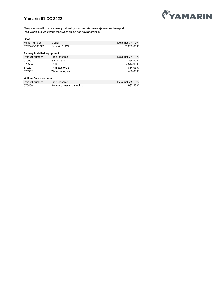## **Yamarin 61 CC 2022**



| <b>Boat</b>                        |                             |                  |
|------------------------------------|-----------------------------|------------------|
| Model number                       | Model                       | Detal net VAT 0% |
| 6722400/803622                     | Yamarin 61CC                | 21 299.65 €      |
| <b>Factory Installed equipment</b> |                             |                  |
| Product number                     | Product name                | Detal net VAT 0% |
| 670561                             | Garmin 922xs                | 1 338.55 €       |
| 670564                             | Teak                        | 2 544.93 €       |
| 670294                             | Trim tabs 9x12              | 884.03€          |
| 670562                             | Water skiing arch           | 468.80 €         |
| Hull surface treatment             |                             |                  |
| Product number                     | Product name                | Detal net VAT 0% |
| 670406                             | Bottom primer + antifouling | 982,26€          |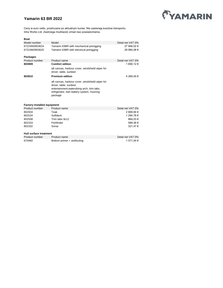## **Yamarin 63 BR 2022**



Ceny w euro netto, przeliczane po aktualnym kursie. Nie zawierają kosztow transportu. Inha Works Ltd. Zastrzega możliwość zmian bez powiadomienia.

| <b>Boat</b>                        |                                                                                                                                                                                   |                  |
|------------------------------------|-----------------------------------------------------------------------------------------------------------------------------------------------------------------------------------|------------------|
| Model number                       | Model                                                                                                                                                                             | Detal net VAT 0% |
| 6722460/803624                     | Yamarin 63BR with mechanical prerigging                                                                                                                                           | 27 946.02 €      |
| 6722460/803625                     | Yamarin 63BR with electrical prerigging                                                                                                                                           | 28 984.08 €      |
| Packages                           |                                                                                                                                                                                   |                  |
| Product number                     | Product name                                                                                                                                                                      | Detal net VAT 0% |
| 803909                             | <b>Comfort edition</b>                                                                                                                                                            | 1 690,12 €       |
|                                    | aft canvas, harbour cover, windshield wiper for<br>driver, table, sunbed                                                                                                          |                  |
| 803910                             | <b>Premium edition</b>                                                                                                                                                            | 4 269,45 €       |
|                                    | aft canvas, harbour cover, windshield wiper for<br>driver, table, sunbed,<br>entertainment, waterskiing arch, trim tabs,<br>refrigerator, twin battery system, mooring<br>package |                  |
| <b>Factory Installed equipment</b> |                                                                                                                                                                                   |                  |
| Product number                     | Product name                                                                                                                                                                      | Detal net VAT 0% |
| 802504                             | Teak                                                                                                                                                                              | 2 669,94 €       |
| 802534                             | Softdeck                                                                                                                                                                          | 1 294,78 €       |
| 802508                             | Trim tabs 9x12                                                                                                                                                                    | 884,03€          |
| 802333                             | Fishfinder                                                                                                                                                                        | 589,36€          |
| 802332                             | Sonar                                                                                                                                                                             | 321,47€          |

#### **Hull surface treatment**

| Product number | Product name                | Detal net VAT 0% |
|----------------|-----------------------------|------------------|
| 670460         | Bottom primer + antifouling | 1 071.54 €       |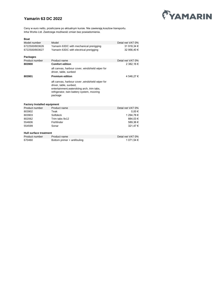## **Yamarin 63 DC 2022**



| Boat                               |                                                                          |                                                                                                                                                                                                                                                                                                                                    |
|------------------------------------|--------------------------------------------------------------------------|------------------------------------------------------------------------------------------------------------------------------------------------------------------------------------------------------------------------------------------------------------------------------------------------------------------------------------|
| Model number                       | Model                                                                    | Detal net VAT 0%                                                                                                                                                                                                                                                                                                                   |
| 6722500/803626                     | Yamarin 63DC with mechanical prerigging                                  | 31 918,34 €                                                                                                                                                                                                                                                                                                                        |
| 6722500/803627                     | Yamarin 63DC with electrical prerigging                                  | 32 956,40 €                                                                                                                                                                                                                                                                                                                        |
| <b>Packages</b>                    |                                                                          |                                                                                                                                                                                                                                                                                                                                    |
| Product number                     | Product name                                                             | Detal net VAT 0%                                                                                                                                                                                                                                                                                                                   |
| 803900                             | <b>Comfort edition</b>                                                   | 2 382,16 €                                                                                                                                                                                                                                                                                                                         |
|                                    | aft canvas, harbour cover, windshield wiper for<br>driver, table, sunbed |                                                                                                                                                                                                                                                                                                                                    |
| 803901                             | <b>Premium edition</b>                                                   | 4 546,27 €                                                                                                                                                                                                                                                                                                                         |
|                                    | aft canvas, harbour cover, windshield wiper for                          |                                                                                                                                                                                                                                                                                                                                    |
|                                    | driver, table, sunbed,                                                   |                                                                                                                                                                                                                                                                                                                                    |
|                                    | entertainment, waterskiing arch, trim tabs,                              |                                                                                                                                                                                                                                                                                                                                    |
|                                    | refrigerator, twin battery system, mooring                               |                                                                                                                                                                                                                                                                                                                                    |
|                                    | package                                                                  |                                                                                                                                                                                                                                                                                                                                    |
|                                    |                                                                          |                                                                                                                                                                                                                                                                                                                                    |
| <b>Factory Installed equipment</b> |                                                                          |                                                                                                                                                                                                                                                                                                                                    |
|                                    |                                                                          | $\mathbf{R}$ $\mathbf{I}$ $\mathbf{I}$ $\mathbf{I}$ $\mathbf{I}$ $\mathbf{I}$ $\mathbf{I}$ $\mathbf{I}$ $\mathbf{I}$ $\mathbf{I}$ $\mathbf{I}$ $\mathbf{I}$ $\mathbf{I}$ $\mathbf{I}$ $\mathbf{I}$ $\mathbf{I}$ $\mathbf{I}$ $\mathbf{I}$ $\mathbf{I}$ $\mathbf{I}$ $\mathbf{I}$ $\mathbf{I}$ $\mathbf{I}$ $\mathbf{I}$ $\mathbf{$ |

| Product number                | Product name                | Detal net VAT 0% |
|-------------------------------|-----------------------------|------------------|
| 803902                        | Teak                        | $0.00 \in$       |
| 803903                        | Softdeck                    | 1 294.78 €       |
| 802062                        | Trim tabs 9x12              | 884.03 €         |
| 554606                        | Fishfinder                  | 589,36€          |
| 554599                        | Sonar                       | 321.47 €         |
| <b>Hull surface treatment</b> |                             |                  |
| Product number                | Product name                | Detal net VAT 0% |
| 670460                        | Bottom primer + antifouling | 1 071.54 €       |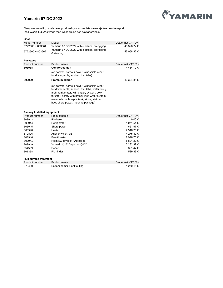## **Yamarin 67 DC 2022**



Ceny w euro netto, przeliczane po aktualnym kursie. Nie zawierają kosztow transportu. Inha Works Ltd. Zastrzega możliwość zmian bez powiadomienia.

#### **Boat**

| Model number     | Model                                                                                                                                                                                                                                                                                        | Dealer net VAT 0% |
|------------------|----------------------------------------------------------------------------------------------------------------------------------------------------------------------------------------------------------------------------------------------------------------------------------------------|-------------------|
| 6722600 + 803661 | Yamarin 67 DC 2022 with electrical prerigging                                                                                                                                                                                                                                                | 43 328,72 €       |
| 6722600 + 803662 | Yamarin 67 DC 2022 with electrical prerigging<br>& steering                                                                                                                                                                                                                                  | 45 058,82 €       |
| Packages         |                                                                                                                                                                                                                                                                                              |                   |
| Product number   | Product name                                                                                                                                                                                                                                                                                 | Dealer net VAT 0% |
| 803938           | <b>Comfort edition</b>                                                                                                                                                                                                                                                                       | 4464,79€          |
|                  | (aft canvas, harbour cover, windshield wiper<br>for driver, table, sunbed, trim tabs)                                                                                                                                                                                                        |                   |
| 803939           | <b>Premium edition</b>                                                                                                                                                                                                                                                                       | 13 394.35 €       |
|                  | (aft canvas, harbour cover, windshield wiper<br>for driver, table, sunbed, trim tabs, waterskiing<br>arch, refrigerator, twin battery system, bow<br>thruster, pentry with pressurised water system,<br>water toilet with septic tank, stove, stair in<br>bow, shore power, mooring package) |                   |

#### **Factory Installed equipment**

| Product number         | Product name                 | Dealer net VAT 0% |
|------------------------|------------------------------|-------------------|
| 803943                 | Flexiteek                    | $0.00 \in$        |
| 803944                 | Refrigerator                 | 1 071,54 €        |
| 803945                 | Shore power                  | 1 651,97 €        |
| 803948                 | Heater                       | 2 946.75 €        |
| 670806                 | Anchor winch, aft            | 4 275.49 €        |
| 803946                 | Bow thruster                 | 2 946.75 €        |
| 803941                 | Helm EX Joystick / Autopilot | 5 804,22 €        |
| 803949                 | Yamarin Q16" (replaces Q10") | 2 232.39 €        |
| 554599                 | Sonar                        | 321,47€           |
| 801358                 | Fishfinder                   | 589.36€           |
| Hull surface treatment |                              |                   |
| Product number         | Product name                 | Dealer net VAT 0% |
| 670460                 | Bottom primer + antifouling  | 1 250.15 €        |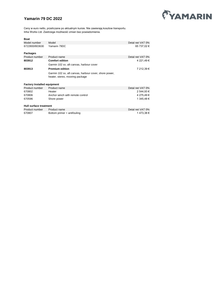## **Yamarin 79 DC 2022**



| <b>Boat</b>                        |                                                                                           |                  |
|------------------------------------|-------------------------------------------------------------------------------------------|------------------|
| Model number                       | Model                                                                                     | Detal net VAT 0% |
| 6722800/803630                     | Yamarin 79DC                                                                              | 65 737,02 €      |
| Packages                           |                                                                                           |                  |
| Product number                     | Product name                                                                              | Detal net VAT 0% |
| 803912                             | <b>Comfort edition</b>                                                                    | 4 221,49 €       |
|                                    | Garmin 102 sv, aft canvas, harbour cover                                                  |                  |
| 803913                             | <b>Premium edition</b>                                                                    | 7 212,39 €       |
|                                    | Garmin 102 sv, aft canvas, harbour cover, shore power,<br>heater, stereo, mooring package |                  |
| <b>Factory Installed equipment</b> |                                                                                           |                  |
| Product number                     | Product name                                                                              | Detal net VAT 0% |
| 670802                             | Heater                                                                                    | 2 544,93 €       |
| 670806                             | Anchor winch with remote control                                                          | 4 275,49 €       |
| 670596                             | Shore power                                                                               | 1 345,48 €       |
| Hull surface treatment             |                                                                                           |                  |
| Product number                     | Product name                                                                              | Detal net VAT 0% |
| 670807                             | Bottom primer + antifouling                                                               | 1473,38€         |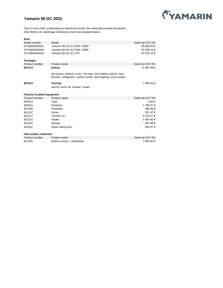

## **Yamarin 88 DC 2022**

Ceny w euro netto, przeliczane po aktualnym kursie. Nie zawierają kosztow transportu. Inha Works Ltd. Zastrzega możliwość zmian bez powiadomienia.

#### **Boat**

| Model number                       | Model                                                                                                                                | Detal net VAT 0% |
|------------------------------------|--------------------------------------------------------------------------------------------------------------------------------------|------------------|
| 6722860/803631                     | Yamarin 88 DC for F300 / DBW                                                                                                         | 95 809,00 €      |
| 6722860/803648                     | Yamarin 88 DC for F300 / SBW                                                                                                         | 97 539,10 €      |
| 6722860/803635                     | Yamarin 88 DC for XTO                                                                                                                | 97 539,10 €      |
|                                    |                                                                                                                                      |                  |
| <b>Packages</b>                    |                                                                                                                                      |                  |
| Product number                     | Product name                                                                                                                         | Detal net VAT 0% |
| 801313                             | <b>Deluxe</b>                                                                                                                        | 10 397,99 €      |
|                                    |                                                                                                                                      |                  |
|                                    | aft canvas, harbour cover, trim tabs, twin battery system, bow<br>thruster, refrigerator, clothes locker, deck lighting, shore power |                  |
|                                    |                                                                                                                                      |                  |
| 801314                             | <b>Touring</b>                                                                                                                       | 7 393,92 €       |
|                                    | anchor winch aft, shower, heater                                                                                                     |                  |
|                                    |                                                                                                                                      |                  |
|                                    |                                                                                                                                      |                  |
| <b>Factory Installed equipment</b> |                                                                                                                                      |                  |
| Product number                     | Product name                                                                                                                         | Detal net VAT 0% |
| 803914                             | Teak                                                                                                                                 | 0.00€            |
| 803915                             | Flexiteek                                                                                                                            | 1785,91€         |
| 801358                             | Fishfinder                                                                                                                           | 589,36€          |
| 801357                             | Sonar                                                                                                                                | 321,47€          |
| 801317                             | Yamarin Q+                                                                                                                           | 4 018,31 €       |
| 801315                             | Heater                                                                                                                               | 2 544,93 €       |
| 801351                             | Shower                                                                                                                               | 267,89€          |
| 801352                             | Water skiing arch                                                                                                                    | 620,61€          |
|                                    |                                                                                                                                      |                  |

#### **Hull surface treatment**

| Product number | <b>Product name</b>         | Detal net VAT 0% |
|----------------|-----------------------------|------------------|
| 801320         | Bottom primer + antifouling | 1 964.50 €       |